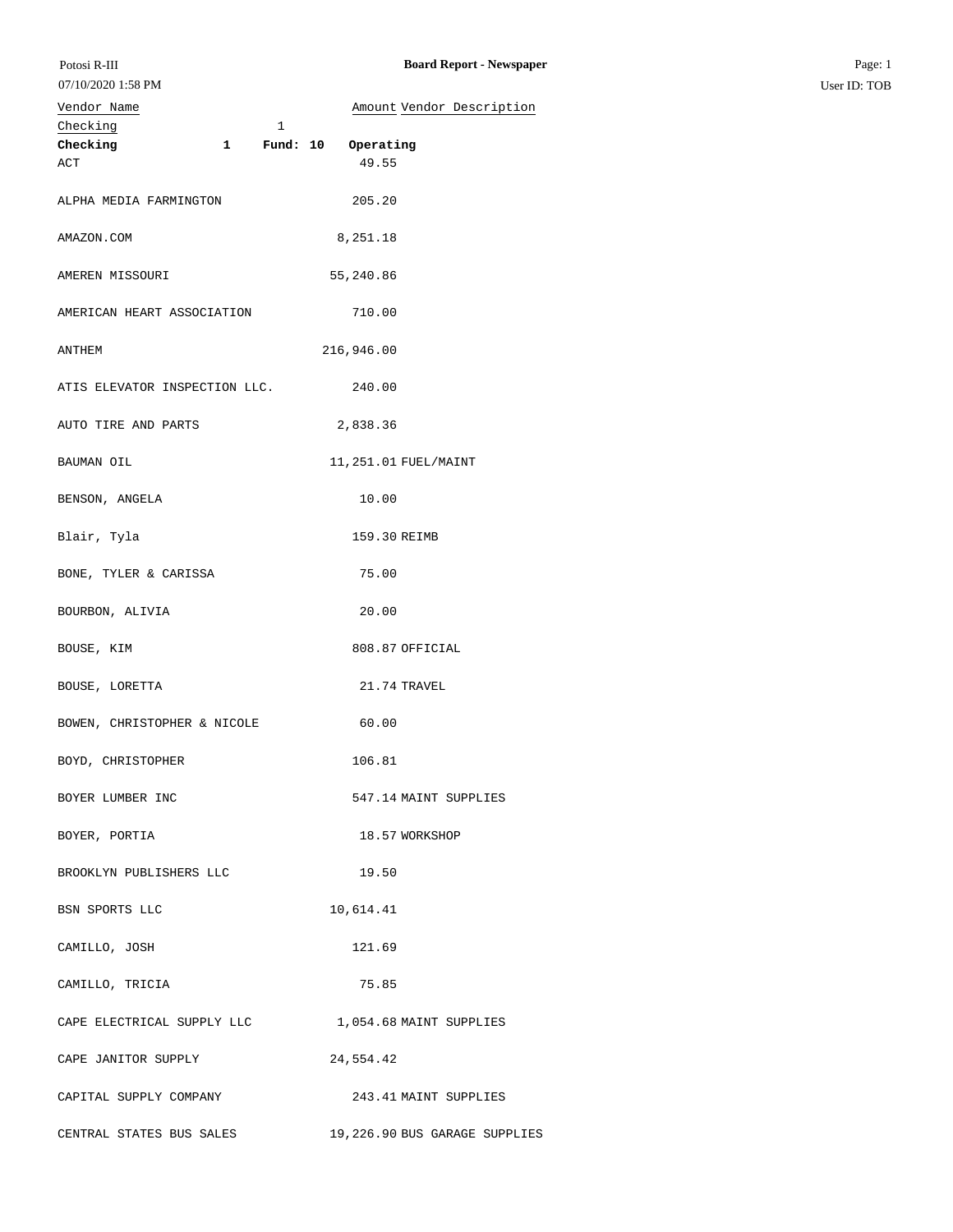## Checking 1 **Checking 1 Fund: 10 Operating** ACT 49.55 ALPHA MEDIA FARMINGTON 205.20 AMAZON.COM 8,251.18 AMEREN MISSOURI 55,240.86 AMERICAN HEART ASSOCIATION 710.00 ANTHEM 216,946.00 ATIS ELEVATOR INSPECTION LLC. 240.00 AUTO TIRE AND PARTS 2,838.36 BAUMAN OIL 11,251.01 FUEL/MAINT BENSON, ANGELA 10.00 Blair, Tyla 159.30 REIMB BONE, TYLER & CARISSA 75.00 BOURBON, ALIVIA 20.00 07/10/2020 1:58 PM Vendor Name **Amount Vendor Description**

BOUSE, KIM 808.87 OFFICIAL

BOUSE, LORETTA 21.74 TRAVEL

BOWEN, CHRISTOPHER & NICOLE 60.00 BOYD, CHRISTOPHER 106.81 BOYER LUMBER INC 547.14 MAINT SUPPLIES BOYER, PORTIA 18.57 WORKSHOP

BROOKLYN PUBLISHERS LLC 19.50

BSN SPORTS LLC 10,614.41 CAMILLO, JOSH 121.69 CAMILLO, TRICIA 75.85

 ${\tt CAPE\; ELECTRICAL\; SUPPLY\; LLC} \qquad \qquad {\tt 1,054.68\; MATN\; SUPPLIES}$ 

CAPE JANITOR SUPPLY 24,554.42

CAPITAL SUPPLY COMPANY 243.41 MAINT SUPPLIES CENTRAL STATES BUS SALES 19,226.90 BUS GARAGE SUPPLIES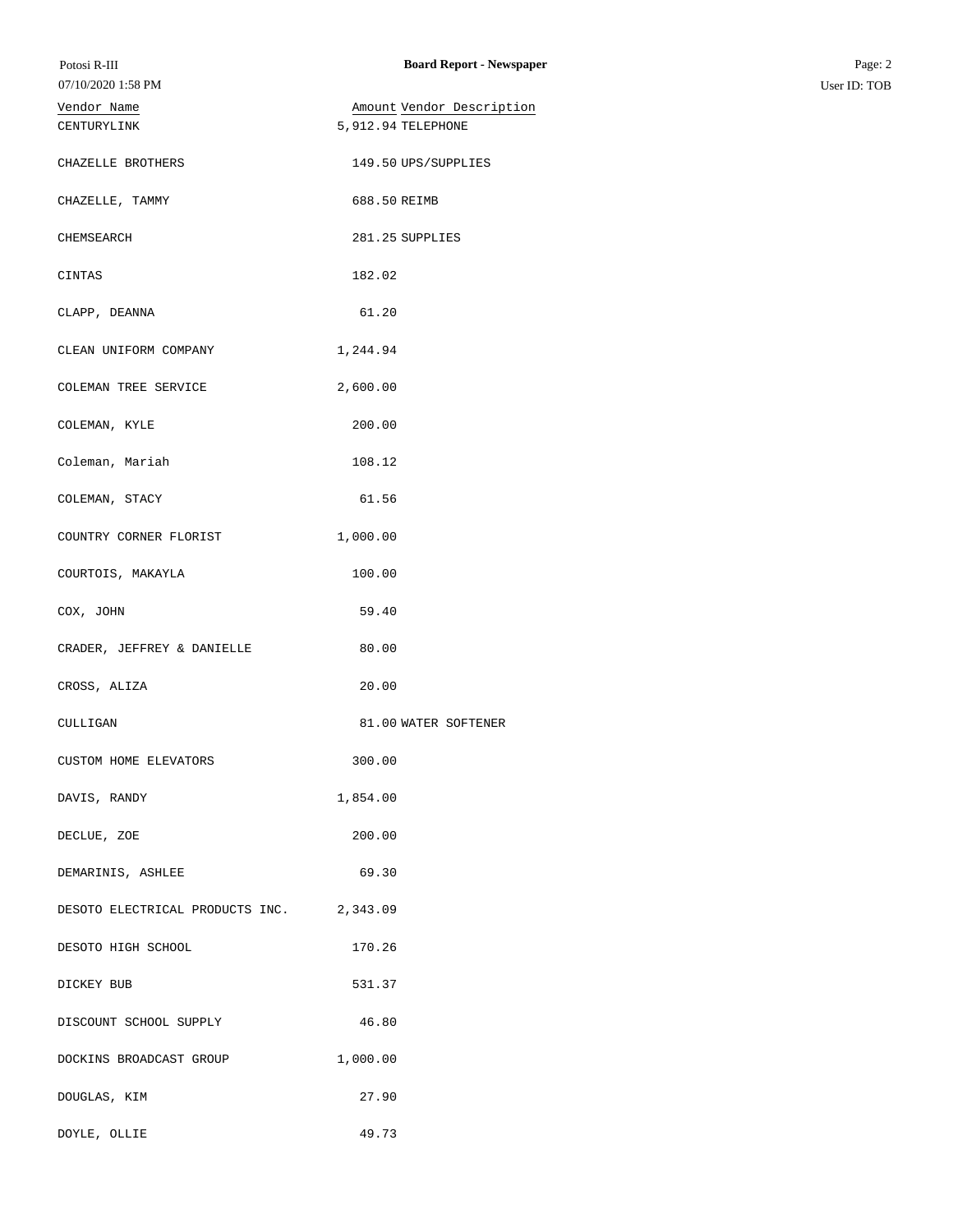| Potosi R-III                             | <b>Board Report - Newspaper</b> | Page: 2      |
|------------------------------------------|---------------------------------|--------------|
| 07/10/2020 1:58 PM                       |                                 | User ID: TOB |
| Vendor Name                              | Amount Vendor Description       |              |
| CENTURYLINK                              | 5, 912.94 TELEPHONE             |              |
|                                          |                                 |              |
| CHAZELLE BROTHERS                        | 149.50 UPS/SUPPLIES             |              |
|                                          |                                 |              |
| CHAZELLE, TAMMY                          | 688.50 REIMB                    |              |
|                                          |                                 |              |
| CHEMSEARCH                               | 281.25 SUPPLIES                 |              |
|                                          |                                 |              |
| CINTAS                                   | 182.02                          |              |
|                                          |                                 |              |
| CLAPP, DEANNA                            | 61.20                           |              |
| CLEAN UNIFORM COMPANY                    | 1,244.94                        |              |
|                                          |                                 |              |
| COLEMAN TREE SERVICE                     | 2,600.00                        |              |
|                                          |                                 |              |
| COLEMAN, KYLE                            | 200.00                          |              |
|                                          |                                 |              |
| Coleman, Mariah                          | 108.12                          |              |
|                                          |                                 |              |
| COLEMAN, STACY                           | 61.56                           |              |
|                                          |                                 |              |
| COUNTRY CORNER FLORIST                   | 1,000.00                        |              |
| COURTOIS, MAKAYLA                        | 100.00                          |              |
|                                          |                                 |              |
| COX, JOHN                                | 59.40                           |              |
|                                          |                                 |              |
| CRADER, JEFFREY & DANIELLE               | 80.00                           |              |
|                                          |                                 |              |
| CROSS, ALIZA                             | 20.00                           |              |
|                                          | 81.00 WATER SOFTENER            |              |
| CULLIGAN                                 |                                 |              |
| CUSTOM HOME ELEVATORS                    | 300.00                          |              |
|                                          |                                 |              |
| DAVIS, RANDY                             | 1,854.00                        |              |
|                                          |                                 |              |
| DECLUE, ZOE                              | 200.00                          |              |
|                                          |                                 |              |
| DEMARINIS, ASHLEE                        | 69.30                           |              |
|                                          |                                 |              |
| DESOTO ELECTRICAL PRODUCTS INC. 2,343.09 |                                 |              |
| DESOTO HIGH SCHOOL                       | 170.26                          |              |
|                                          |                                 |              |
| DICKEY BUB                               | 531.37                          |              |
|                                          |                                 |              |
| DISCOUNT SCHOOL SUPPLY                   | 46.80                           |              |
|                                          |                                 |              |
| DOCKINS BROADCAST GROUP                  | 1,000.00                        |              |
|                                          |                                 |              |
| DOUGLAS, KIM                             | 27.90                           |              |
| DOYLE, OLLIE                             | 49.73                           |              |
|                                          |                                 |              |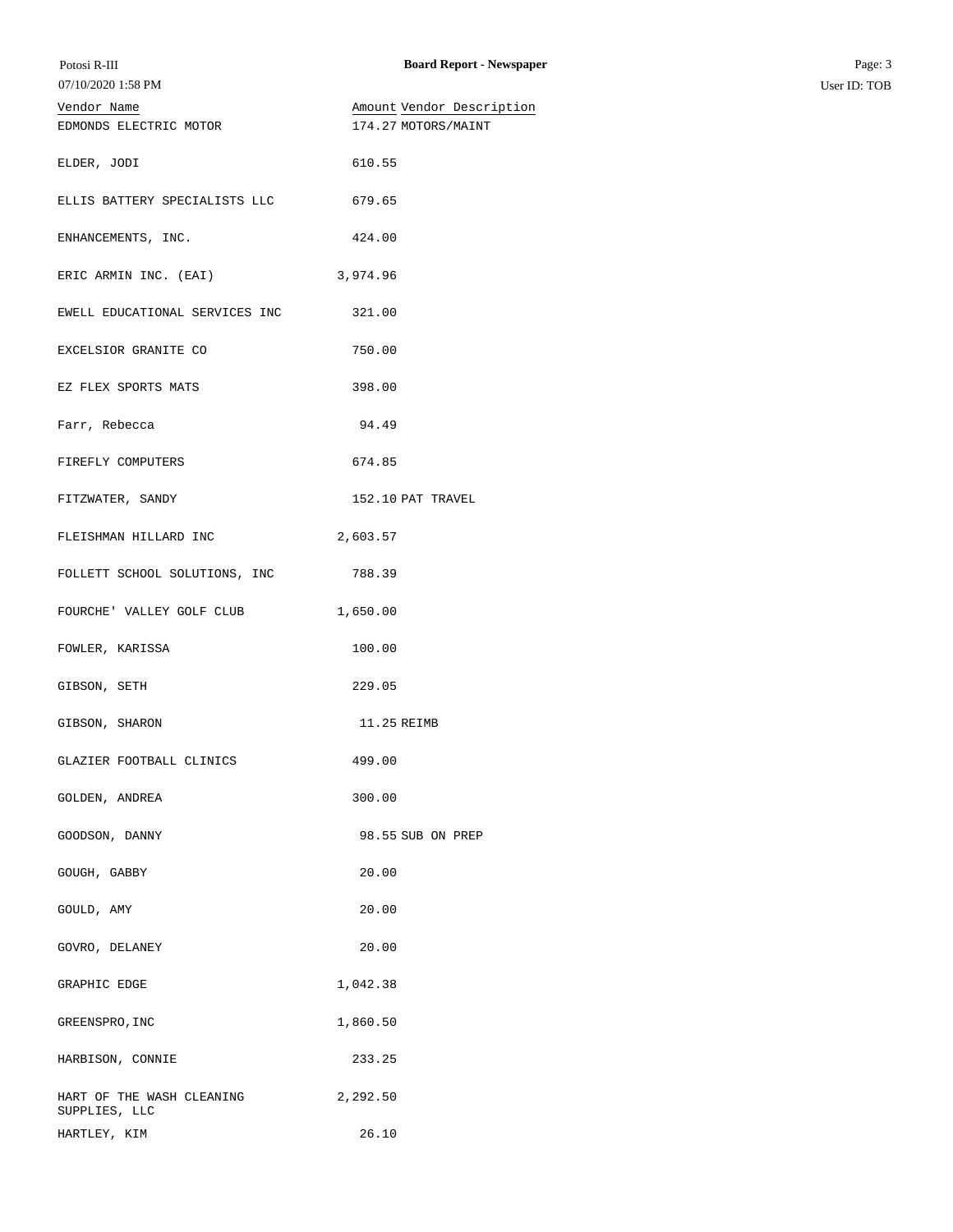| Potosi R-III<br>07/10/2020 1:58 PM         | <b>Board Report - Newspaper</b> | Page: 3<br>User ID: TOB |
|--------------------------------------------|---------------------------------|-------------------------|
|                                            |                                 |                         |
| Vendor Name                                | Amount Vendor Description       |                         |
| EDMONDS ELECTRIC MOTOR                     | 174.27 MOTORS/MAINT             |                         |
| ELDER, JODI                                | 610.55                          |                         |
| ELLIS BATTERY SPECIALISTS LLC              | 679.65                          |                         |
| ENHANCEMENTS, INC.                         | 424.00                          |                         |
| ERIC ARMIN INC. (EAI)                      | 3,974.96                        |                         |
| EWELL EDUCATIONAL SERVICES INC             | 321.00                          |                         |
| EXCELSIOR GRANITE CO                       | 750.00                          |                         |
| EZ FLEX SPORTS MATS                        | 398.00                          |                         |
| Farr, Rebecca                              | 94.49                           |                         |
| FIREFLY COMPUTERS                          | 674.85                          |                         |
| FITZWATER, SANDY                           | 152.10 PAT TRAVEL               |                         |
| FLEISHMAN HILLARD INC                      | 2,603.57                        |                         |
| FOLLETT SCHOOL SOLUTIONS, INC 788.39       |                                 |                         |
| FOURCHE' VALLEY GOLF CLUB                  | 1,650.00                        |                         |
| FOWLER, KARISSA                            | 100.00                          |                         |
| GIBSON, SETH                               | 229.05                          |                         |
| GIBSON, SHARON                             | 11.25 REIMB                     |                         |
| GLAZIER FOOTBALL CLINICS                   | 499.00                          |                         |
| GOLDEN, ANDREA                             | 300.00                          |                         |
| GOODSON, DANNY                             | 98.55 SUB ON PREP               |                         |
| GOUGH, GABBY                               | 20.00                           |                         |
| GOULD, AMY                                 | 20.00                           |                         |
| GOVRO, DELANEY                             | 20.00                           |                         |
| GRAPHIC EDGE                               | 1,042.38                        |                         |
| GREENSPRO, INC                             | 1,860.50                        |                         |
| HARBISON, CONNIE                           | 233.25                          |                         |
| HART OF THE WASH CLEANING<br>SUPPLIES, LLC | 2,292.50                        |                         |
| HARTLEY, KIM                               | 26.10                           |                         |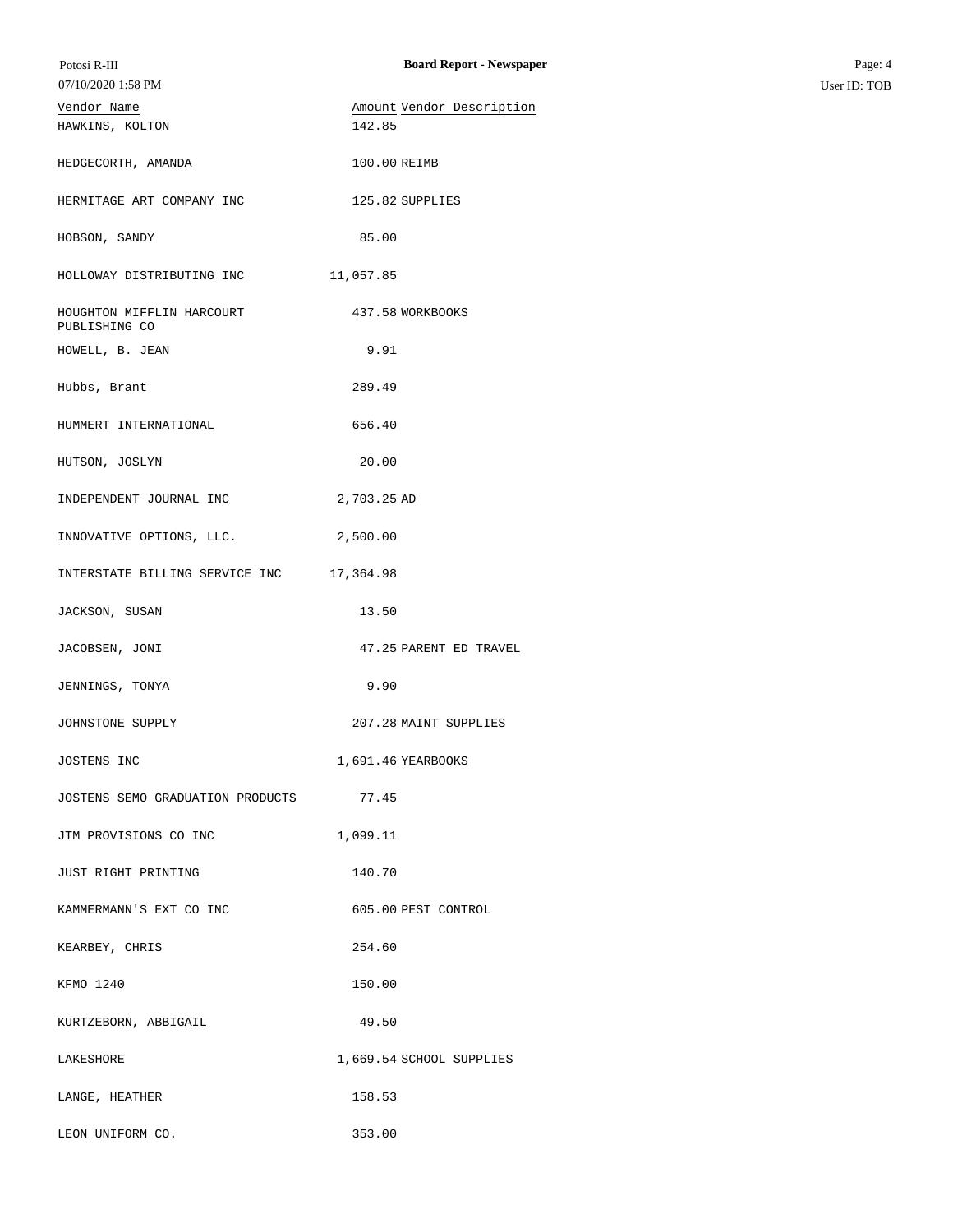| Potosi R-III                               | <b>Board Report - Newspaper</b> | Page: 4      |
|--------------------------------------------|---------------------------------|--------------|
| 07/10/2020 1:58 PM                         |                                 | User ID: TOB |
| Vendor Name                                | Amount Vendor Description       |              |
| HAWKINS, KOLTON                            | 142.85                          |              |
| HEDGECORTH, AMANDA                         | 100.00 REIMB                    |              |
| HERMITAGE ART COMPANY INC                  | 125.82 SUPPLIES                 |              |
| HOBSON, SANDY                              | 85.00                           |              |
| HOLLOWAY DISTRIBUTING INC                  | 11,057.85                       |              |
| HOUGHTON MIFFLIN HARCOURT<br>PUBLISHING CO | 437.58 WORKBOOKS                |              |
| HOWELL, B. JEAN                            | 9.91                            |              |
| Hubbs, Brant                               | 289.49                          |              |
| HUMMERT INTERNATIONAL                      | 656.40                          |              |
| HUTSON, JOSLYN                             | 20.00                           |              |
| INDEPENDENT JOURNAL INC                    | 2,703.25 AD                     |              |
| INNOVATIVE OPTIONS, LLC.                   | 2,500.00                        |              |
| INTERSTATE BILLING SERVICE INC             | 17,364.98                       |              |
| JACKSON, SUSAN                             | 13.50                           |              |
| JACOBSEN, JONI                             | 47.25 PARENT ED TRAVEL          |              |
| JENNINGS, TONYA                            | 9.90                            |              |
| JOHNSTONE SUPPLY                           | 207.28 MAINT SUPPLIES           |              |
| JOSTENS INC                                | 1,691.46 YEARBOOKS              |              |
| JOSTENS SEMO GRADUATION PRODUCTS           | 77.45                           |              |
| JTM PROVISIONS CO INC                      | 1,099.11                        |              |
| JUST RIGHT PRINTING                        | 140.70                          |              |
| KAMMERMANN'S EXT CO INC                    | 605.00 PEST CONTROL             |              |
| KEARBEY, CHRIS                             | 254.60                          |              |
| KFMO 1240                                  | 150.00                          |              |
| KURTZEBORN, ABBIGAIL                       | 49.50                           |              |
| LAKESHORE                                  | 1,669.54 SCHOOL SUPPLIES        |              |
| LANGE, HEATHER                             | 158.53                          |              |
| LEON UNIFORM CO.                           | 353.00                          |              |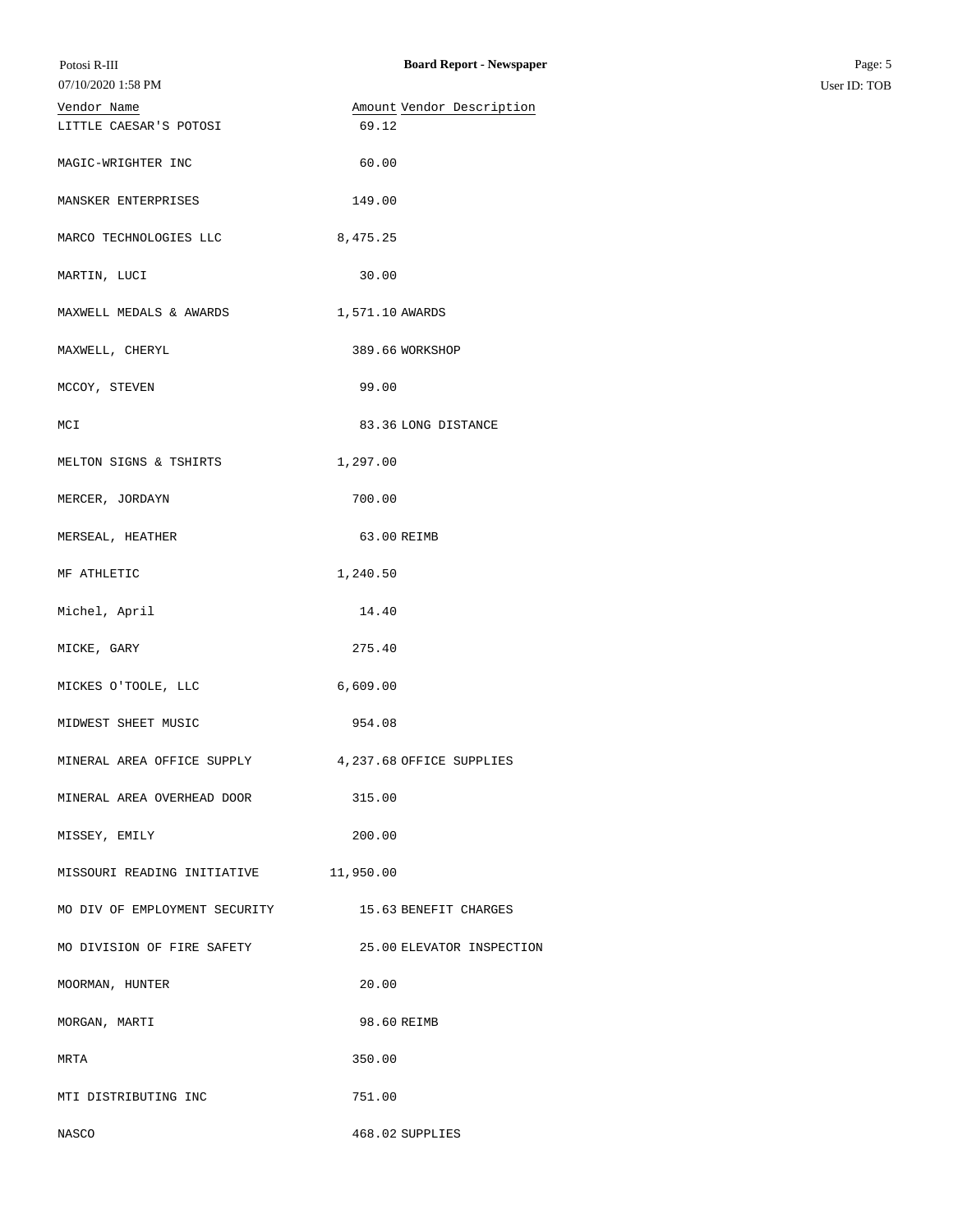| Potosi R-III<br>07/10/2020 1:58 PM    | <b>Board Report - Newspaper</b> | Page: 5<br>User ID: TOB |
|---------------------------------------|---------------------------------|-------------------------|
| Vendor Name                           | Amount Vendor Description       |                         |
| LITTLE CAESAR'S POTOSI                | 69.12                           |                         |
| MAGIC-WRIGHTER INC                    | 60.00                           |                         |
| MANSKER ENTERPRISES                   | 149.00                          |                         |
| MARCO TECHNOLOGIES LLC                | 8,475.25                        |                         |
| MARTIN, LUCI                          | 30.00                           |                         |
| MAXWELL MEDALS & AWARDS               | 1,571.10 AWARDS                 |                         |
| MAXWELL, CHERYL                       | 389.66 WORKSHOP                 |                         |
| MCCOY, STEVEN                         | 99.00                           |                         |
| MCI                                   | 83.36 LONG DISTANCE             |                         |
| MELTON SIGNS & TSHIRTS                | 1,297.00                        |                         |
| MERCER, JORDAYN                       | 700.00                          |                         |
| MERSEAL, HEATHER                      | 63.00 REIMB                     |                         |
| MF ATHLETIC                           | 1,240.50                        |                         |
| Michel, April                         | 14.40                           |                         |
| MICKE, GARY                           | 275.40                          |                         |
| MICKES O'TOOLE, LLC                   | 6,609.00                        |                         |
| MIDWEST SHEET MUSIC                   | 954.08                          |                         |
| MINERAL AREA OFFICE SUPPLY            | 4, 237.68 OFFICE SUPPLIES       |                         |
| MINERAL AREA OVERHEAD DOOR            | 315.00                          |                         |
| MISSEY, EMILY                         | 200.00                          |                         |
| MISSOURI READING INITIATIVE 11,950.00 |                                 |                         |
| MO DIV OF EMPLOYMENT SECURITY         | 15.63 BENEFIT CHARGES           |                         |
| MO DIVISION OF FIRE SAFETY            | 25.00 ELEVATOR INSPECTION       |                         |
| MOORMAN, HUNTER                       | 20.00                           |                         |
| MORGAN, MARTI                         | 98.60 REIMB                     |                         |
| MRTA                                  | 350.00                          |                         |
| MTI DISTRIBUTING INC                  | 751.00                          |                         |
| NASCO                                 | 468.02 SUPPLIES                 |                         |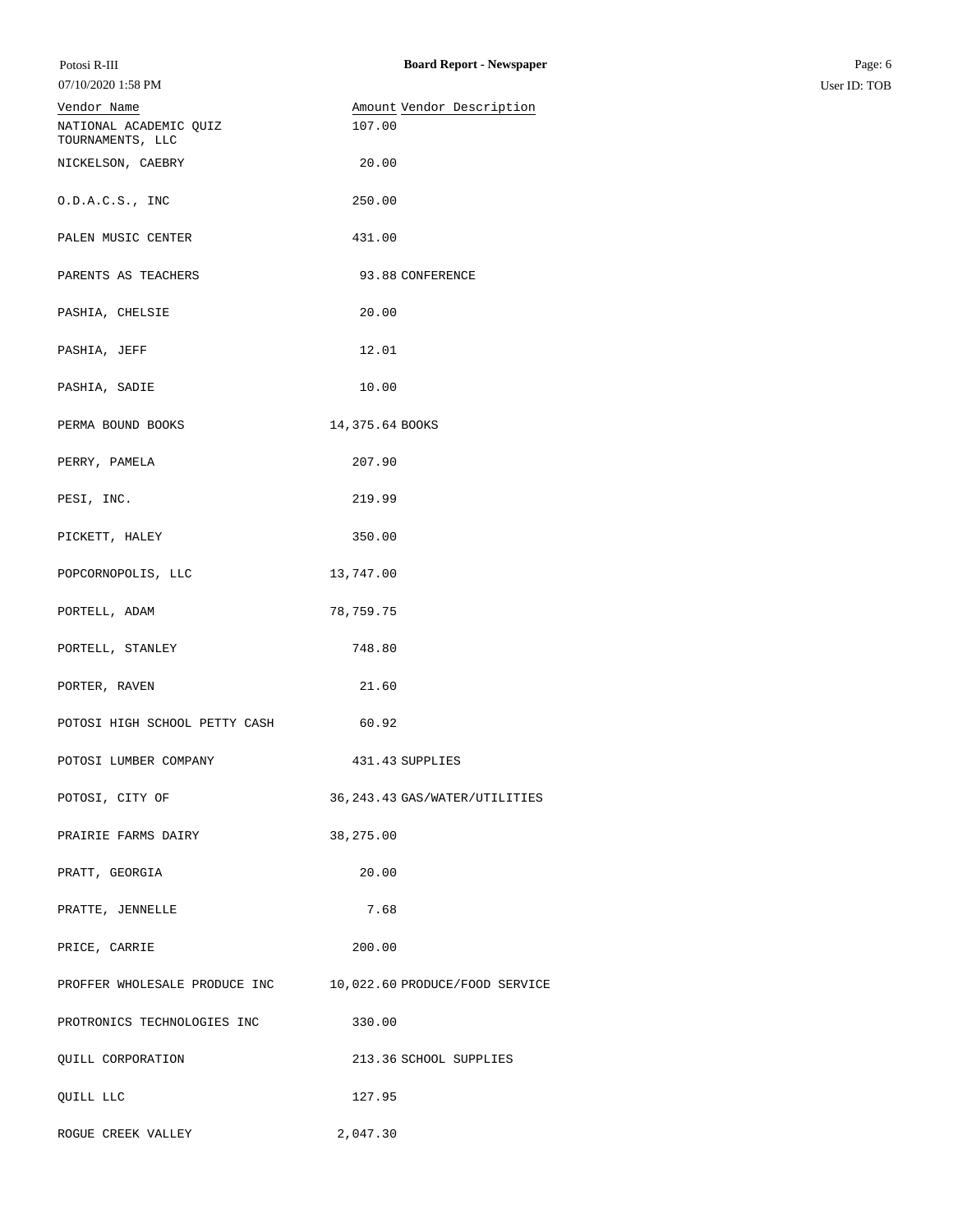| Potosi R-III                                                 | <b>Board Report - Newspaper</b> | Page: 6      |
|--------------------------------------------------------------|---------------------------------|--------------|
| 07/10/2020 1:58 PM                                           |                                 | User ID: TOB |
| Vendor Name                                                  | Amount Vendor Description       |              |
| NATIONAL ACADEMIC QUIZ<br>TOURNAMENTS, LLC                   | 107.00                          |              |
| NICKELSON, CAEBRY                                            | 20.00                           |              |
| 0.D.A.C.S., INC                                              | 250.00                          |              |
| PALEN MUSIC CENTER                                           | 431.00                          |              |
| PARENTS AS TEACHERS                                          | 93.88 CONFERENCE                |              |
| PASHIA, CHELSIE                                              | 20.00                           |              |
| PASHIA, JEFF                                                 | 12.01                           |              |
| PASHIA, SADIE                                                | 10.00                           |              |
| PERMA BOUND BOOKS                                            | 14,375.64 BOOKS                 |              |
| PERRY, PAMELA                                                | 207.90                          |              |
| PESI, INC.                                                   | 219.99                          |              |
| PICKETT, HALEY                                               | 350.00                          |              |
| POPCORNOPOLIS, LLC                                           | 13,747.00                       |              |
| PORTELL, ADAM                                                | 78,759.75                       |              |
| PORTELL, STANLEY                                             | 748.80                          |              |
| PORTER, RAVEN                                                | 21.60                           |              |
| POTOSI HIGH SCHOOL PETTY CASH                                | 60.92                           |              |
| POTOSI LUMBER COMPANY                                        | 431.43 SUPPLIES                 |              |
| POTOSI, CITY OF                                              | 36, 243.43 GAS/WATER/UTILITIES  |              |
| PRAIRIE FARMS DAIRY                                          | 38,275.00                       |              |
| PRATT, GEORGIA                                               | 20.00                           |              |
| PRATTE, JENNELLE                                             | 7.68                            |              |
| PRICE, CARRIE                                                | 200.00                          |              |
| PROFFER WHOLESALE PRODUCE INC 10,022.60 PRODUCE/FOOD SERVICE |                                 |              |
| PROTRONICS TECHNOLOGIES INC                                  | 330.00                          |              |
| QUILL CORPORATION                                            | 213.36 SCHOOL SUPPLIES          |              |
| QUILL LLC                                                    | 127.95                          |              |
| ROGUE CREEK VALLEY                                           | 2,047.30                        |              |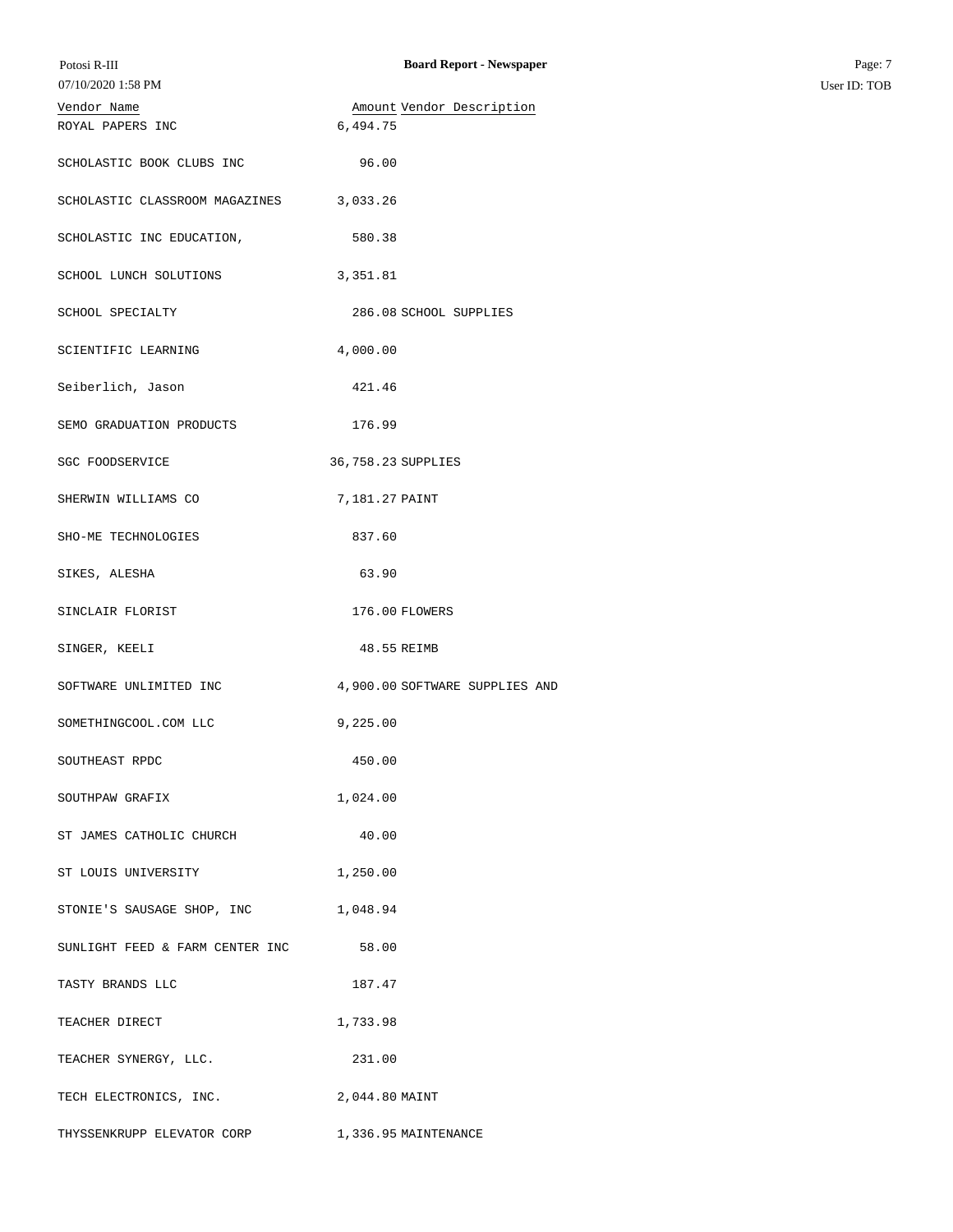| 07/10/2020 1:58 PM              |                                |
|---------------------------------|--------------------------------|
| Vendor Name                     | Amount Vendor Description      |
| ROYAL PAPERS INC                | 6,494.75                       |
| SCHOLASTIC BOOK CLUBS INC       | 96.00                          |
| SCHOLASTIC CLASSROOM MAGAZINES  | 3,033.26                       |
| SCHOLASTIC INC EDUCATION,       | 580.38                         |
| SCHOOL LUNCH SOLUTIONS          | 3,351.81                       |
| SCHOOL SPECIALTY                | 286.08 SCHOOL SUPPLIES         |
| SCIENTIFIC LEARNING             | 4,000.00                       |
| Seiberlich, Jason               | 421.46                         |
| SEMO GRADUATION PRODUCTS        | 176.99                         |
| <b>SGC FOODSERVICE</b>          | 36,758.23 SUPPLIES             |
| SHERWIN WILLIAMS CO             | 7,181.27 PAINT                 |
| SHO-ME TECHNOLOGIES             | 837.60                         |
| SIKES, ALESHA                   | 63.90                          |
| SINCLAIR FLORIST                | 176.00 FLOWERS                 |
| SINGER, KEELI                   | 48.55 REIMB                    |
| SOFTWARE UNLIMITED INC          | 4,900.00 SOFTWARE SUPPLIES AND |
| SOMETHINGCOOL.COM LLC           | 9,225.00                       |
| SOUTHEAST RPDC                  | 450.00                         |
| SOUTHPAW GRAFIX                 | 1,024.00                       |
| ST JAMES CATHOLIC CHURCH        | 40.00                          |
| ST LOUIS UNIVERSITY             | 1,250.00                       |
| STONIE'S SAUSAGE SHOP, INC      | 1,048.94                       |
| SUNLIGHT FEED & FARM CENTER INC | 58.00                          |
| TASTY BRANDS LLC                | 187.47                         |
| TEACHER DIRECT                  | 1,733.98                       |
| TEACHER SYNERGY, LLC.           | 231.00                         |
| TECH ELECTRONICS, INC.          | 2,044.80 MAINT                 |
| THYSSENKRUPP ELEVATOR CORP      | 1,336.95 MAINTENANCE           |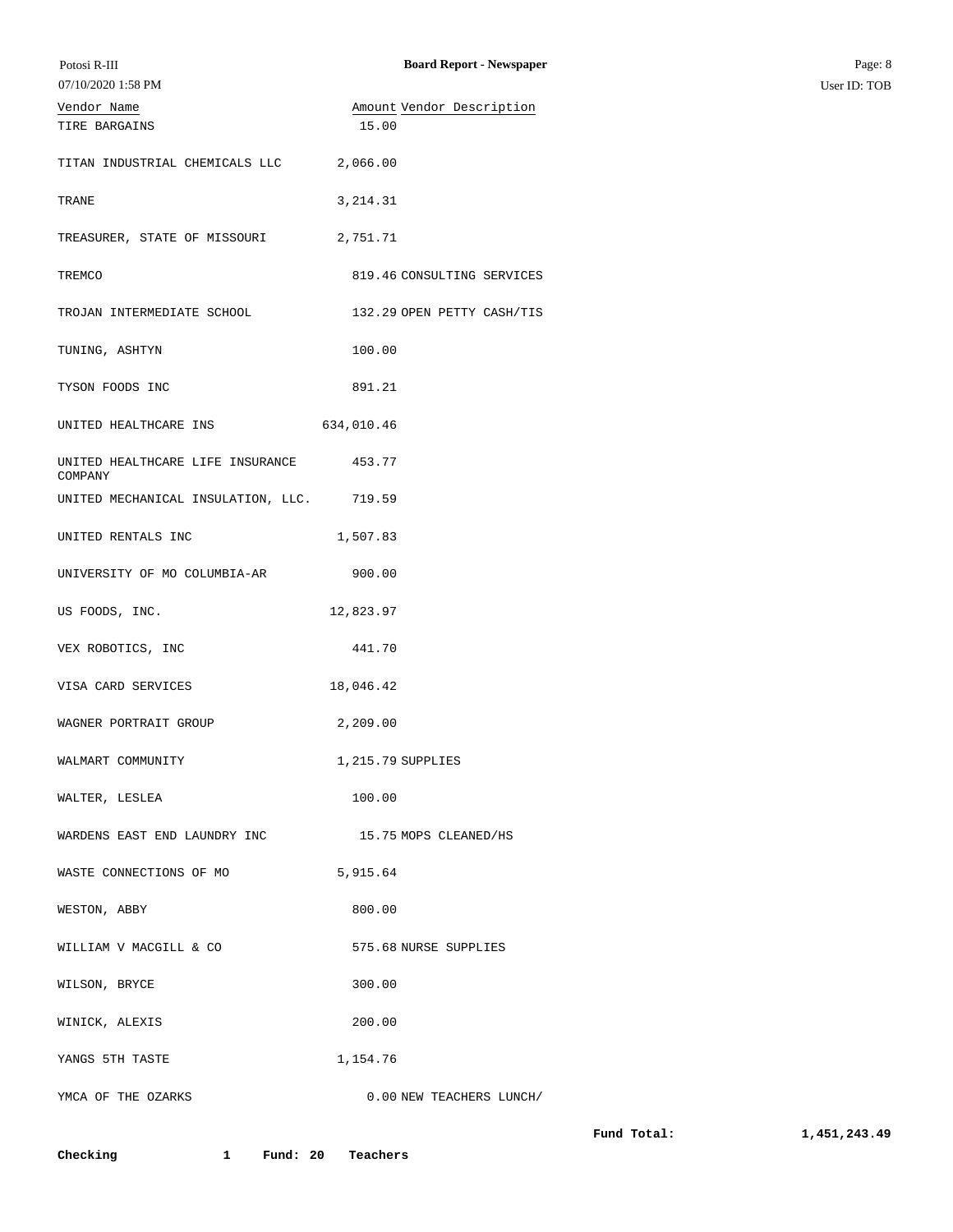| Potosi R-III                                | <b>Board Report - Newspaper</b> |             | Page: 8      |
|---------------------------------------------|---------------------------------|-------------|--------------|
| 07/10/2020 1:58 PM                          |                                 |             | User ID: TOB |
| Vendor Name                                 | Amount Vendor Description       |             |              |
| TIRE BARGAINS                               | 15.00                           |             |              |
| TITAN INDUSTRIAL CHEMICALS LLC 2,066.00     |                                 |             |              |
| TRANE                                       | 3, 214.31                       |             |              |
| TREASURER, STATE OF MISSOURI 2,751.71       |                                 |             |              |
| TREMCO                                      | 819.46 CONSULTING SERVICES      |             |              |
| TROJAN INTERMEDIATE SCHOOL                  | 132.29 OPEN PETTY CASH/TIS      |             |              |
| TUNING, ASHTYN                              | 100.00                          |             |              |
| TYSON FOODS INC                             | 891.21                          |             |              |
| UNITED HEALTHCARE INS                       | 634,010.46                      |             |              |
| UNITED HEALTHCARE LIFE INSURANCE<br>COMPANY | 453.77                          |             |              |
| UNITED MECHANICAL INSULATION, LLC. 719.59   |                                 |             |              |
| UNITED RENTALS INC                          | 1,507.83                        |             |              |
| UNIVERSITY OF MO COLUMBIA-AR                | 900.00                          |             |              |
| US FOODS, INC.                              | 12,823.97                       |             |              |
| VEX ROBOTICS, INC                           | 441.70                          |             |              |
| VISA CARD SERVICES                          | 18,046.42                       |             |              |
| WAGNER PORTRAIT GROUP                       | 2,209.00                        |             |              |
| WALMART COMMUNITY                           | 1,215.79 SUPPLIES               |             |              |
| WALTER, LESLEA                              | 100.00                          |             |              |
| WARDENS EAST END LAUNDRY INC                | 15.75 MOPS CLEANED/HS           |             |              |
| WASTE CONNECTIONS OF MO                     | 5,915.64                        |             |              |
| WESTON, ABBY                                | 800.00                          |             |              |
| WILLIAM V MACGILL & CO                      | 575.68 NURSE SUPPLIES           |             |              |
| WILSON, BRYCE                               | 300.00                          |             |              |
| WINICK, ALEXIS                              | 200.00                          |             |              |
| YANGS 5TH TASTE                             | 1,154.76                        |             |              |
| YMCA OF THE OZARKS                          | 0.00 NEW TEACHERS LUNCH/        |             |              |
|                                             |                                 | Fund Total: | 1,451,243.49 |